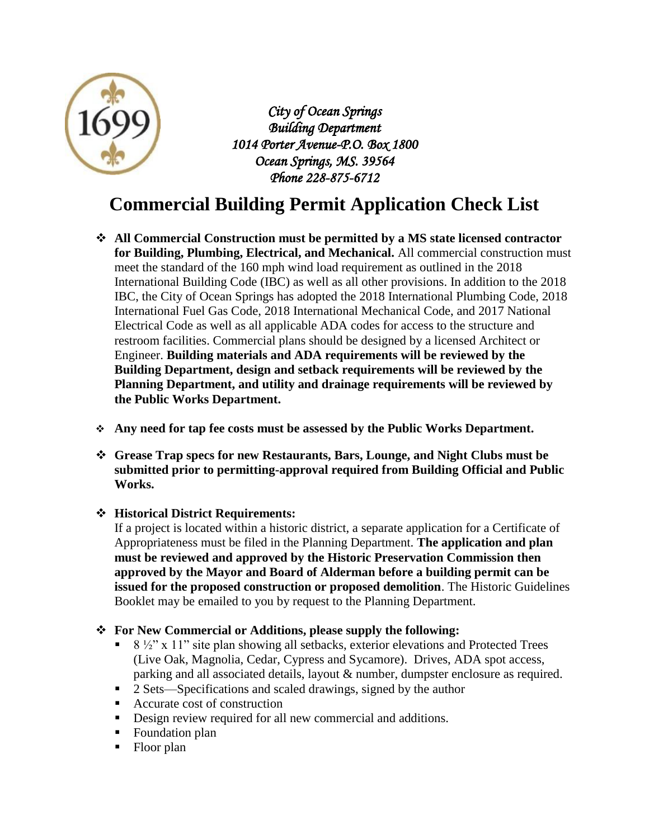

*City of Ocean Springs Building Department 1014 Porter Avenue-P.O. Box 1800 Ocean Springs, MS. 39564 Phone 228-875-6712* 

## **Commercial Building Permit Application Check List**

- **All Commercial Construction must be permitted by a MS state licensed contractor for Building, Plumbing, Electrical, and Mechanical.** All commercial construction must meet the standard of the 160 mph wind load requirement as outlined in the 2018 International Building Code (IBC) as well as all other provisions. In addition to the 2018 IBC, the City of Ocean Springs has adopted the 2018 International Plumbing Code, 2018 International Fuel Gas Code, 2018 International Mechanical Code, and 2017 National Electrical Code as well as all applicable ADA codes for access to the structure and restroom facilities. Commercial plans should be designed by a licensed Architect or Engineer. **Building materials and ADA requirements will be reviewed by the Building Department, design and setback requirements will be reviewed by the Planning Department, and utility and drainage requirements will be reviewed by the Public Works Department.**
- **Any need for tap fee costs must be assessed by the Public Works Department.**
- **Grease Trap specs for new Restaurants, Bars, Lounge, and Night Clubs must be submitted prior to permitting-approval required from Building Official and Public Works.**
- **Historical District Requirements:**

If a project is located within a historic district, a separate application for a Certificate of Appropriateness must be filed in the Planning Department. **The application and plan must be reviewed and approved by the Historic Preservation Commission then approved by the Mayor and Board of Alderman before a building permit can be issued for the proposed construction or proposed demolition**. The Historic Guidelines Booklet may be emailed to you by request to the Planning Department.

- **For New Commercial or Additions, please supply the following:**
	- 8 ½" x 11" site plan showing all setbacks, exterior elevations and Protected Trees (Live Oak, Magnolia, Cedar, Cypress and Sycamore). Drives, ADA spot access, parking and all associated details, layout & number, dumpster enclosure as required.
	- <sup>2</sup> Sets—Specifications and scaled drawings, signed by the author
	- Accurate cost of construction
	- Design review required for all new commercial and additions.
	- Foundation plan
	- Floor plan